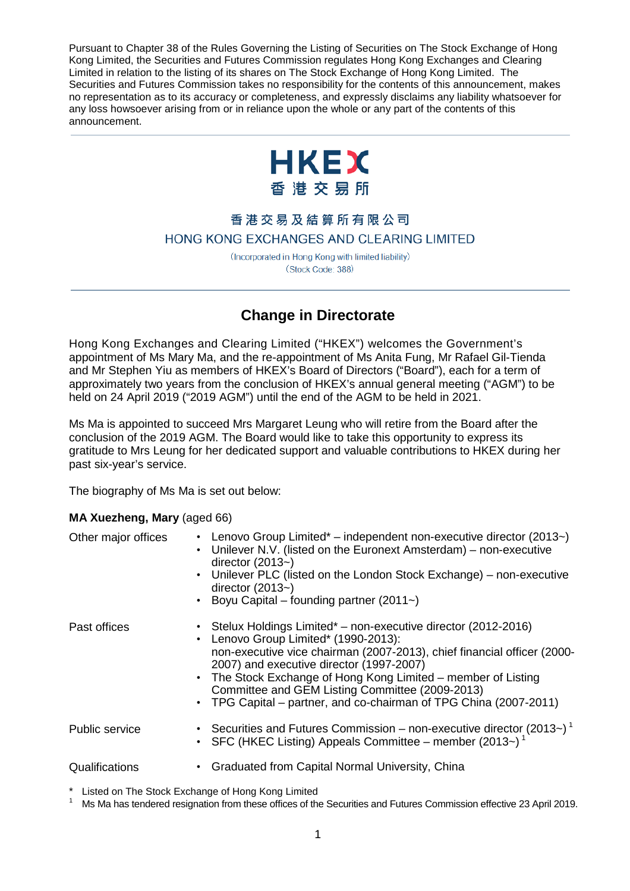Pursuant to Chapter 38 of the Rules Governing the Listing of Securities on The Stock Exchange of Hong Kong Limited, the Securities and Futures Commission regulates Hong Kong Exchanges and Clearing Limited in relation to the listing of its shares on The Stock Exchange of Hong Kong Limited. The Securities and Futures Commission takes no responsibility for the contents of this announcement, makes no representation as to its accuracy or completeness, and expressly disclaims any liability whatsoever for any loss howsoever arising from or in reliance upon the whole or any part of the contents of this announcement.



## 香港交易及結算所有限公司 HONG KONG EXCHANGES AND CLEARING LIMITED

(Incorporated in Hong Kong with limited liability) (Stock Code: 388)

## **Change in Directorate**

Hong Kong Exchanges and Clearing Limited ("HKEX") welcomes the Government's appointment of Ms Mary Ma, and the re-appointment of Ms Anita Fung, Mr Rafael Gil-Tienda and Mr Stephen Yiu as members of HKEX's Board of Directors ("Board"), each for a term of approximately two years from the conclusion of HKEX's annual general meeting ("AGM") to be held on 24 April 2019 ("2019 AGM") until the end of the AGM to be held in 2021.

Ms Ma is appointed to succeed Mrs Margaret Leung who will retire from the Board after the conclusion of the 2019 AGM. The Board would like to take this opportunity to express its gratitude to Mrs Leung for her dedicated support and valuable contributions to HKEX during her past six-year's service.

The biography of Ms Ma is set out below:

## **MA Xuezheng, Mary** (aged 66)

| Other major offices | • Lenovo Group Limited* – independent non-executive director (2013~)<br>• Unilever N.V. (listed on the Euronext Amsterdam) – non-executive<br>director $(2013-)$<br>• Unilever PLC (listed on the London Stock Exchange) – non-executive<br>director $(2013-)$<br>• Boyu Capital – founding partner (2011~)                                                                                                             |
|---------------------|-------------------------------------------------------------------------------------------------------------------------------------------------------------------------------------------------------------------------------------------------------------------------------------------------------------------------------------------------------------------------------------------------------------------------|
| Past offices        | • Stelux Holdings Limited* – non-executive director (2012-2016)<br>• Lenovo Group Limited* (1990-2013):<br>non-executive vice chairman (2007-2013), chief financial officer (2000-<br>2007) and executive director (1997-2007)<br>• The Stock Exchange of Hong Kong Limited – member of Listing<br>Committee and GEM Listing Committee (2009-2013)<br>• TPG Capital – partner, and co-chairman of TPG China (2007-2011) |
| Public service      | • Securities and Futures Commission – non-executive director (2013~) <sup>1</sup><br>• SFC (HKEC Listing) Appeals Committee – member (2013~) <sup>1</sup>                                                                                                                                                                                                                                                               |
| Qualifications      | • Graduated from Capital Normal University, China                                                                                                                                                                                                                                                                                                                                                                       |

Listed on The Stock Exchange of Hong Kong Limited

<sup>1</sup> Ms Ma has tendered resignation from these offices of the Securities and Futures Commission effective 23 April 2019.